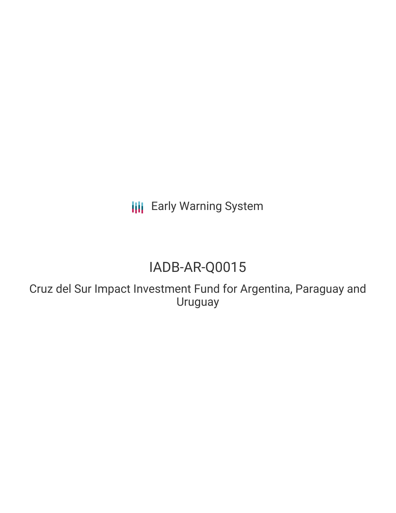**III** Early Warning System

# IADB-AR-Q0015

Cruz del Sur Impact Investment Fund for Argentina, Paraguay and Uruguay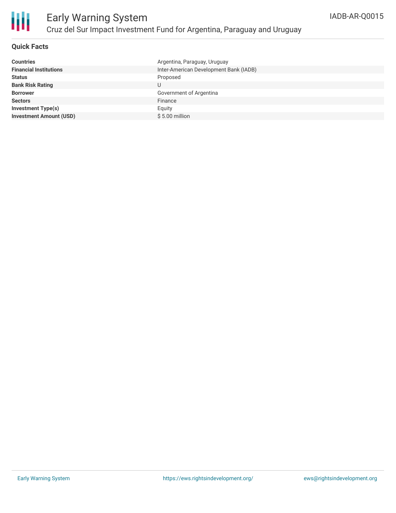

## **Quick Facts**

| Argentina, Paraguay, Uruguay           |
|----------------------------------------|
| Inter-American Development Bank (IADB) |
| Proposed                               |
| U                                      |
| Government of Argentina                |
| Finance                                |
| Equity                                 |
| $$5.00$ million                        |
|                                        |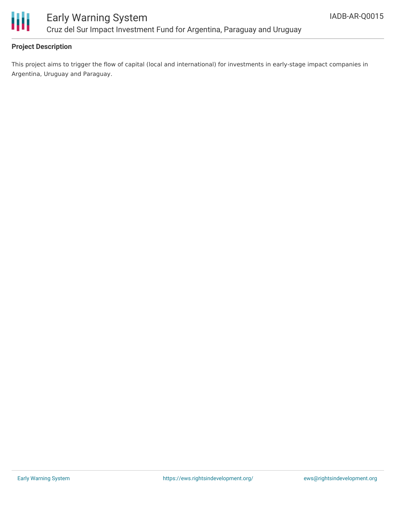

# Early Warning System Cruz del Sur Impact Investment Fund for Argentina, Paraguay and Uruguay

## **Project Description**

This project aims to trigger the flow of capital (local and international) for investments in early-stage impact companies in Argentina, Uruguay and Paraguay.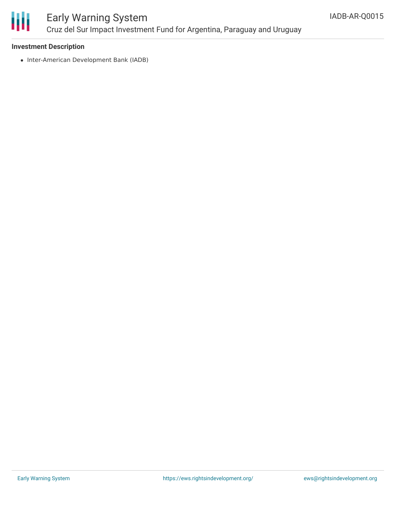

## Early Warning System Cruz del Sur Impact Investment Fund for Argentina, Paraguay and Uruguay

#### **Investment Description**

• Inter-American Development Bank (IADB)